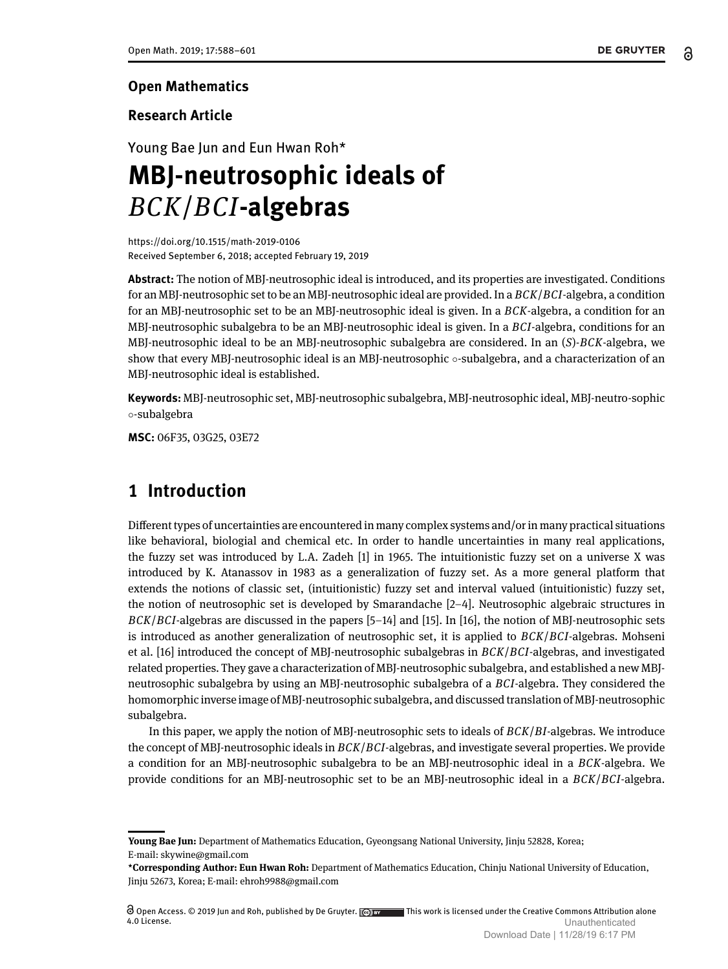#### **Open Mathematics**

#### **Research Article**

Young Bae Jun and Eun Hwan Roh\*

# **MBJ-neutrosophic ideals of** *BCK*/*BCI***-algebras**

<https://doi.org/10.1515/math-2019-0106> Received September 6, 2018; accepted February 19, 2019

**Abstract:** The notion of MBJ-neutrosophic ideal is introduced, and its properties are investigated. Conditions for an MBJ-neutrosophic set to be an MBJ-neutrosophic ideal are provided. In a *BCK*/*BCI*-algebra, a condition for an MBJ-neutrosophic set to be an MBJ-neutrosophic ideal is given. In a *BCK*-algebra, a condition for an MBJ-neutrosophic subalgebra to be an MBJ-neutrosophic ideal is given. In a *BCI*-algebra, conditions for an MBJ-neutrosophic ideal to be an MBJ-neutrosophic subalgebra are considered. In an (*S*)-*BCK*-algebra, we show that every MBJ-neutrosophic ideal is an MBJ-neutrosophic ◦-subalgebra, and a characterization of an MBJ-neutrosophic ideal is established.

**Keywords:** MBJ-neutrosophic set, MBJ-neutrosophic subalgebra, MBJ-neutrosophic ideal, MBJ-neutro-sophic ◦-subalgebra

**MSC:** 06F35, 03G25, 03E72

# **1 Introduction**

Different types of uncertainties are encountered in many complex systems and/or in many practical situations like behavioral, biologial and chemical etc. In order to handle uncertainties in many real applications, the fuzzy set was introduced by L.A. Zadeh [\[1\]](#page-12-0) in 1965. The intuitionistic fuzzy set on a universe X was introduced by K. Atanassov in 1983 as a generalization of fuzzy set. As a more general platform that extends the notions of classic set, (intuitionistic) fuzzy set and interval valued (intuitionistic) fuzzy set, the notion of neutrosophic set is developed by Smarandache [\[2](#page-12-1)[–4\]](#page-12-2). Neutrosophic algebraic structures in *BCK*/*BCI*-algebras are discussed in the papers [\[5](#page-12-3)[–14\]](#page-13-1) and [\[15\]](#page-13-2). In [\[16\]](#page-13-3), the notion of MBJ-neutrosophic sets is introduced as another generalization of neutrosophic set, it is applied to *BCK*/*BCI*-algebras. Mohseni et al. [\[16\]](#page-13-3) introduced the concept of MBJ-neutrosophic subalgebras in *BCK*/*BCI*-algebras, and investigated related properties. They gave a characterization of MBJ-neutrosophic subalgebra, and established a new MBJneutrosophic subalgebra by using an MBJ-neutrosophic subalgebra of a *BCI*-algebra. They considered the homomorphic inverse image of MBJ-neutrosophic subalgebra, and discussed translation of MBJ-neutrosophic subalgebra.

In this paper, we apply the notion of MBJ-neutrosophic sets to ideals of *BCK*/*BI*-algebras. We introduce the concept of MBJ-neutrosophic ideals in *BCK*/*BCI*-algebras, and investigate several properties. We provide a condition for an MBJ-neutrosophic subalgebra to be an MBJ-neutrosophic ideal in a *BCK*-algebra. We provide conditions for an MBJ-neutrosophic set to be an MBJ-neutrosophic ideal in a *BCK*/*BCI*-algebra.

**Young Bae Jun:** Department of Mathematics Education, Gyeongsang National University, Jinju 52828, Korea; E-mail: skywine@gmail.com

**<sup>\*</sup>Corresponding Author: Eun Hwan Roh:** Department of Mathematics Education, Chinju National University of Education, Jinju 52673, Korea; E-mail: ehroh9988@gmail.com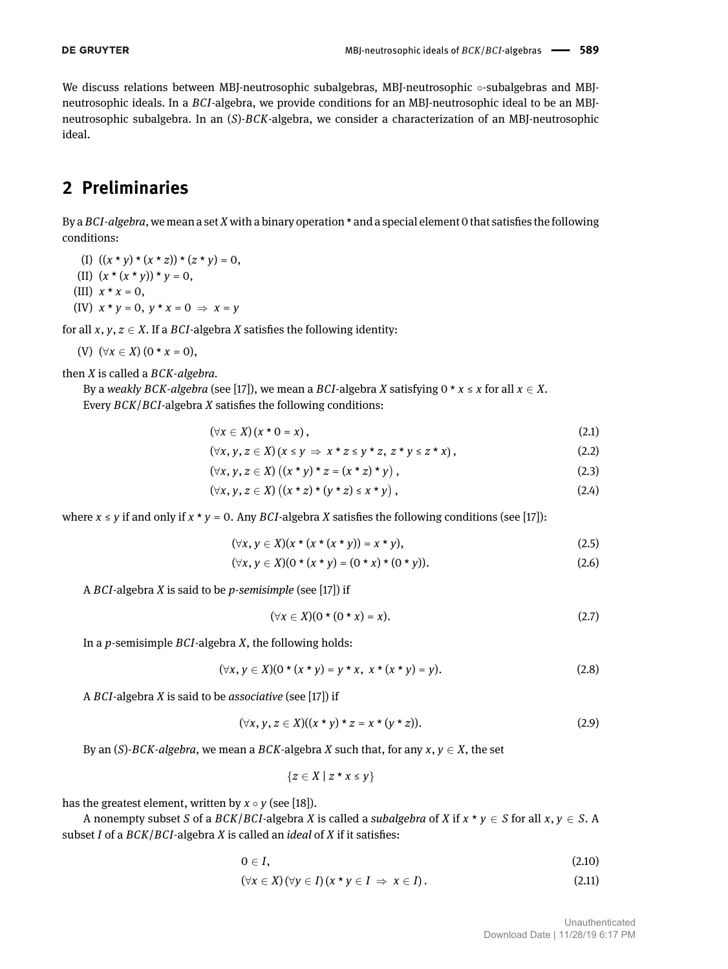We discuss relations between MBJ-neutrosophic subalgebras, MBJ-neutrosophic ∘-subalgebras and MBJneutrosophic ideals. In a *BCI*-algebra, we provide conditions for an MBJ-neutrosophic ideal to be an MBJneutrosophic subalgebra. In an (*S*)-*BCK*-algebra, we consider a characterization of an MBJ-neutrosophic ideal.

## **2 Preliminaries**

By a *BCI-algebra*, we mean a set *X* with a binary operation \* and a special element 0 that satisfies the following conditions:

- (I)  $((x * y) * (x * z)) * (z * y) = 0$ ,
- (II)  $(x * (x * y)) * y = 0$ ,
- (III)  $x * x = 0$ ,
- (IV)  $x * y = 0$ ,  $y * x = 0 \Rightarrow x = y$

for all  $x, y, z \in X$ . If a *BCI*-algebra *X* satisfies the following identity:

$$
(V) \ (\forall x \in X) (0 * x = 0),
$$

then *X* is called a *BCK-algebra.*

By a *weakly BCK-algebra* (see [\[17\]](#page-13-4)), we mean a *BCI*-algebra *X* satisfying  $0 \star x \leq x$  for all  $x \in X$ . Every *BCK*/*BCI*-algebra *X* satisfies the following conditions:

<span id="page-1-0"></span>
$$
(\forall x \in X) (x \star 0 = x), \tag{2.1}
$$

$$
(\forall x, y, z \in X) (x \leq y \Rightarrow x \star z \leq y \star z, z \star y \leq z \star x), \qquad (2.2)
$$

$$
(\forall x, y, z \in X) ((x * y) * z = (x * z) * y),
$$
\n(2.3)

$$
(\forall x, y, z \in X) ((x * z) * (y * z) \le x * y), \qquad (2.4)
$$

where  $x \le y$  if and only if  $x * y = 0$ . Any *BCI*-algebra *X* satisfies the following conditions (see [\[17\]](#page-13-4)):

$$
(\forall x, y \in X)(x \star (x \star (x \star y)) = x \star y), \tag{2.5}
$$

$$
(\forall x, y \in X)(0 \star (x \star y) = (0 \star x) \star (0 \star y)). \tag{2.6}
$$

A *BCI*-algebra *X* is said to be *p-semisimple* (see [\[17\]](#page-13-4)) if

$$
(\forall x \in X)(0 \star (0 \star x) = x). \tag{2.7}
$$

In a *p*-semisimple *BCI*-algebra *X*, the following holds:

$$
(\forall x, y \in X)(0 \star (x \star y) = y \star x, x \star (x \star y) = y).
$$
\n
$$
(2.8)
$$

A *BCI*-algebra *X* is said to be *associative* (see [\[17\]](#page-13-4)) if

$$
(\forall x, y, z \in X)((x \star y) \star z = x \star (y \star z)). \tag{2.9}
$$

By an  $(S)$ *-BCK-algebra*, we mean a *BCK*-algebra *X* such that, for any  $x, y \in X$ , the set

$$
\{z\in X\mid z\star x\leq y\}
$$

has the greatest element, written by  $x \circ y$  (see [\[18\]](#page-13-5)).

A nonempty subset *S* of a *BCK*/*BCI*-algebra *X* is called a *subalgebra* of *X* if  $x * y \in S$  for all  $x, y \in S$ . A subset *I* of a *BCK*/*BCI*-algebra *X* is called an *ideal* of *X* if it satisfies:

$$
0\in I,\tag{2.10}
$$

$$
(\forall x \in X) (\forall y \in I) (x * y \in I \Rightarrow x \in I).
$$
\n
$$
(2.11)
$$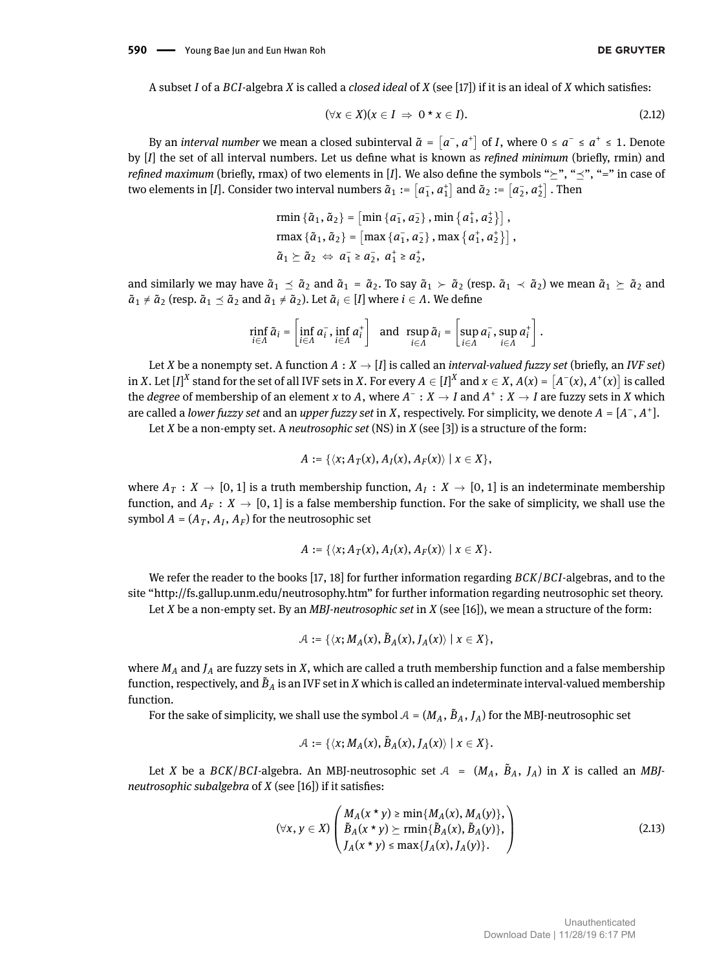A subset *I* of a *BCI*-algebra *X* is called a *closed ideal* of *X* (see [\[17\]](#page-13-4)) if it is an ideal of *X* which satises:

$$
(\forall x \in X)(x \in I \Rightarrow 0 \star x \in I).
$$
\n(2.12)

By an *interval number* we mean a closed subinterval  $\tilde{a} = [a^-, a^+]$  of *I*, where  $0 \le a^- \le a^+ \le 1$ . Denote by [*I*] the set of all interval numbers. Let us define what is known as *refined minimum* (briefly, rmin) and *refined maximum* (briefly, rmax) of two elements in [*I*]. We also define the symbols " $\succ$ ", " $\prec$ ", "=" in case of two elements in [*I*]. Consider two interval numbers  $\tilde{a}_1 := \lceil a_1^-, a_1^+ \rceil$  and  $\tilde{a}_2 := \lceil a_2^-, a_2^+ \rceil$  . Then

rmin {
$$
\tilde{a}_1
$$
,  $\tilde{a}_2$ } = [min { $a_1$ ,  $a_2$ }, min { $a_1$ ,  $a_2$ }],  
\nrmax { $\tilde{a}_1$ ,  $\tilde{a}_2$ } = [max { $a_1$ ,  $a_2$ }, max { $a_1$ ,  $a_2$ }],  
\n $\tilde{a}_1 \succeq \tilde{a}_2 \Leftrightarrow a_1$  ≥  $a_2$ ,  $a_1$  ≥  $a_2$ ,

and similarly we may have  $\tilde{a}_1 \prec \tilde{a}_2$  and  $\tilde{a}_1 = \tilde{a}_2$ . To say  $\tilde{a}_1 \succ \tilde{a}_2$  (resp.  $\tilde{a}_1 \prec \tilde{a}_2$ ) we mean  $\tilde{a}_1 \succ \tilde{a}_2$  and  $\tilde{a}_1 \neq \tilde{a}_2$  (resp.  $\tilde{a}_1 \preceq \tilde{a}_2$  and  $\tilde{a}_1 \neq \tilde{a}_2$ ). Let  $\tilde{a}_i \in [I]$  where  $i \in \Lambda$ . We define

$$
\min_{i \in \Lambda} \tilde{a}_i = \left[ \inf_{i \in \Lambda} a_i^-, \inf_{i \in \Lambda} a_i^+ \right] \text{ and } \sup_{i \in \Lambda} \tilde{a}_i = \left[ \sup_{i \in \Lambda} a_i^-, \sup_{i \in \Lambda} a_i^+ \right].
$$

Let *X* be a nonempty set. A function  $A: X \to [I]$  is called an *interval-valued fuzzy set* (briefly, an *IVF set*) in X. Let  $[I]^X$  stand for the set of all IVF sets in X. For every  $A\in [I]^X$  and  $x\in X$ ,  $A(x) = \big[A^-(x),A^+(x)\big]$  is called the *degree* of membership of an element *x* to *A*, where  $A^-: X \to I$  and  $A^+: X \to I$  are fuzzy sets in *X* which are called a *lower fuzzy set* and an *upper fuzzy set* in *X*, respectively. For simplicity, we denote *A* = [*A* − , *A* + ].

Let *X* be a non-empty set. A *neutrosophic set* (NS) in *X* (see [\[3\]](#page-12-4)) is a structure of the form:

$$
A := \{ \langle x; A_T(x), A_I(x), A_F(x) \rangle \mid x \in X \},
$$

where  $A_T: X \to [0,1]$  is a truth membership function,  $A_I: X \to [0,1]$  is an indeterminate membership function, and  $A_F: X \to [0, 1]$  is a false membership function. For the sake of simplicity, we shall use the symbol  $A = (A_T, A_I, A_F)$  for the neutrosophic set

$$
A := \{ \langle x; A_T(x), A_I(x), A_F(x) \rangle \mid x \in X \}.
$$

We refer the reader to the books [\[17,](#page-13-4) [18\]](#page-13-5) for further information regarding *BCK*/*BCI*-algebras, and to the site "http://fs.gallup.unm.edu/neutrosophy.htm" for further information regarding neutrosophic set theory. Let *X* be a non-empty set. By an *MBJ-neutrosophic set* in *X* (see [\[16\]](#page-13-3)), we mean a structure of the form:

$$
\mathcal{A}:=\{\langle \text{$x$};M_A(\text{$x$}),\tilde{B}_A(\text{$x$}),J_A(\text{$x$})\rangle\mid \text{$x\in X$}\},
$$

where *M<sup>A</sup>* and *J<sup>A</sup>* are fuzzy sets in *X*, which are called a truth membership function and a false membership function, respectively, and  $\tilde{B}_A$  is an IVF set in *X* which is called an indeterminate interval-valued membership function.

For the sake of simplicity, we shall use the symbol  $A = (M_A, \tilde{B}_A, J_A)$  for the MBJ-neutrosophic set

$$
\mathcal{A} := \{ \langle x; M_A(x), \tilde{B}_A(x), J_A(x) \rangle \mid x \in X \}.
$$

Let *X* be a *BCK*/*BCI*-algebra. An MBJ-neutrosophic set  $A = (M_A, B_A, J_A)$  in *X* is called an *MBJneutrosophic subalgebra* of *X* (see [\[16\]](#page-13-3)) if it satisfies:

$$
(\forall x, y \in X) \begin{pmatrix} M_A(x \star y) \ge \min\{M_A(x), M_A(y)\}, \\ \tilde{B}_A(x \star y) \ge \min\{\tilde{B}_A(x), \tilde{B}_A(y)\}, \\ J_A(x \star y) \le \max\{J_A(x), J_A(y)\}. \end{pmatrix}
$$
(2.13)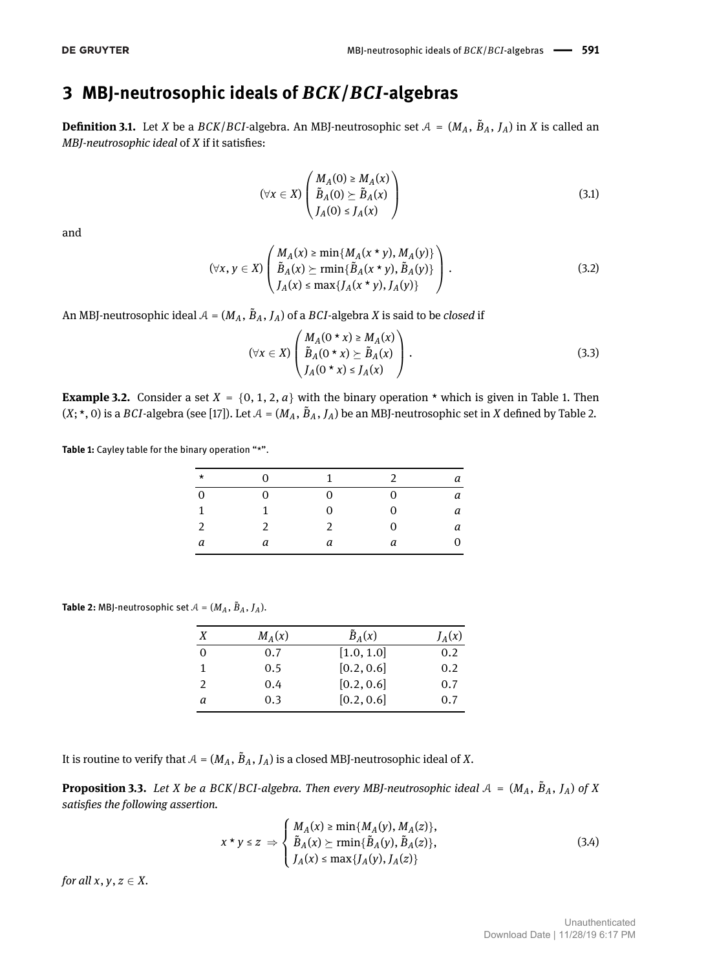# **3 MBJ-neutrosophic ideals of** *BCK***/***BCI***-algebras**

**Definition 3.1.** Let *X* be a *BCK*/*BCI*-algebra. An MBJ-neutrosophic set  $A = (M_A, B_A, J_A)$  in *X* is called an *MBJ-neutrosophic ideal* of *X* if it satisfies:

<span id="page-3-6"></span><span id="page-3-2"></span>
$$
(\forall x \in X) \begin{pmatrix} M_A(0) \geq M_A(x) \\ \tilde{B}_A(0) \geq \tilde{B}_A(x) \\ J_A(0) \leq J_A(x) \end{pmatrix}
$$
 (3.1)

and

$$
(\forall x, y \in X) \left( \begin{array}{c} M_A(x) \geq \min\{M_A(x * y), M_A(y)\} \\ \tilde{B}_A(x) \geq \min\{\tilde{B}_A(x * y), \tilde{B}_A(y)\} \\ J_A(x) \leq \max\{J_A(x * y), J_A(y)\} \end{array} \right). \tag{3.2}
$$

An MBJ-neutrosophic ideal  $A = (M_A, \tilde{B}_A, J_A)$  of a  $BCI$ -algebra  $X$  is said to be *closed* if

<span id="page-3-7"></span>
$$
(\forall x \in X) \begin{pmatrix} M_A(0 \star x) \ge M_A(x) \\ \tilde{B}_A(0 \star x) \ge \tilde{B}_A(x) \\ J_A(0 \star x) \le J_A(x) \end{pmatrix}.
$$
 (3.3)

<span id="page-3-4"></span>**Example 3.2.** Consider a set  $X = \{0, 1, 2, a\}$  with the binary operation  $*$  which is given in Table [1.](#page-3-0) Then  $(X;*,0)$  is a *BCI*-algebra (see [\[17\]](#page-13-4)). Let  $A = (M_A, B_A, J_A)$  be an MBJ-neutrosophic set in *X* defined by Table [2.](#page-3-1)

<span id="page-3-0"></span>**Table 1:** Cayley table for the binary operation "\*".

| $\star$        | $\Omega$      | 1             | $\mathcal{P}$ | а |
|----------------|---------------|---------------|---------------|---|
| $\mathbf 0$    | $\Omega$      | 0             | 0             | а |
| 1              | 1             | 0             | 0             | а |
| $\mathfrak{D}$ | $\mathcal{P}$ | $\mathcal{P}$ | 0             | а |
| a              | а             | а             | а             | 0 |

<span id="page-3-1"></span>**Table 2:** MBJ-neutrosophic set  $A = (M_A, \tilde{B}_A, J_A)$ .

| X             | $M_A(x)$ | $\tilde{B}_A(x)$ | $J_A(x)$ |
|---------------|----------|------------------|----------|
| 0             | 0.7      | [1.0, 1.0]       | 0.2      |
| 1             | 0.5      | [0.2, 0.6]       | 0.2      |
| $\mathcal{P}$ | 0.4      | [0.2, 0.6]       | 0.7      |
| а             | 0.3      | [0.2, 0.6]       | 0.7      |

It is routine to verify that  $A = (M_A, \tilde{B}_A, J_A)$  is a closed MBJ-neutrosophic ideal of X.

<span id="page-3-5"></span>**Proposition 3.3.** Let *X* be a BCK/BCI-algebra. Then every MBJ-neutrosophic ideal  $A = (M_A, B_A, J_A)$  of *X* satisfies the following assertion.

<span id="page-3-3"></span>
$$
x * y \le z \Rightarrow \begin{cases} M_A(x) \ge \min\{M_A(y), M_A(z)\}, \\ \tilde{B}_A(x) \ge \min\{\tilde{B}_A(y), \tilde{B}_A(z)\}, \\ J_A(x) \le \max\{J_A(y), J_A(z)\} \end{cases}
$$
(3.4)

*for all*  $x, y, z \in X$ .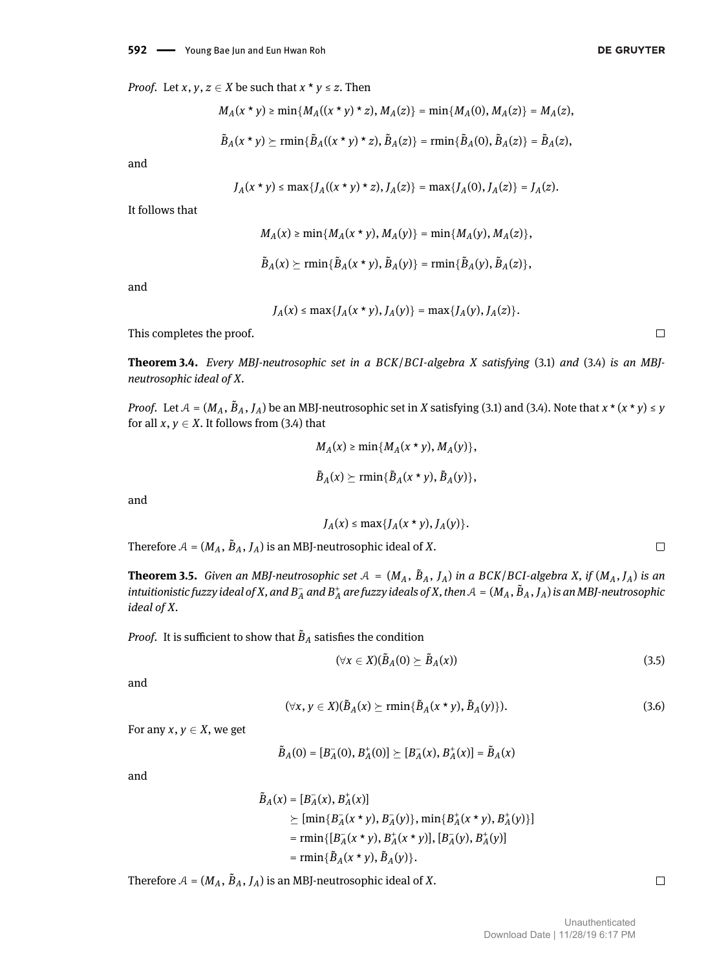$$
M_A(x * y) \ge \min\{M_A((x * y) * z), M_A(z)\} = \min\{M_A(0), M_A(z)\} = M_A(z),
$$
  

$$
\tilde{B}_A(x * y) \ge \min\{\tilde{B}_A((x * y) * z), \tilde{B}_A(z)\} = \min\{\tilde{B}_A(0), \tilde{B}_A(z)\} = \tilde{B}_A(z),
$$

and

$$
J_A(x * y) \le \max\{J_A((x * y) * z), J_A(z)\} = \max\{J_A(0), J_A(z)\} = J_A(z).
$$

It follows that

$$
M_A(x) \ge \min\{M_A(x \star y), M_A(y)\} = \min\{M_A(y), M_A(z)\},
$$
  

$$
\tilde{B}_A(x) \ge \min\{\tilde{B}_A(x \star y), \tilde{B}_A(y)\} = \min\{\tilde{B}_A(y), \tilde{B}_A(z)\},
$$

and

$$
J_A(x) \le \max\{J_A(x \star y), J_A(y)\} = \max\{J_A(y), J_A(z)\}.
$$

This completes the proof.

**Theorem 3.4.** *Every MBJ-neutrosophic set in a BCK*/*BCI-algebra X satisfying* [\(3.1\)](#page-3-2) *and* [\(3.4\)](#page-3-3) *is an MBJneutrosophic ideal of X.*

*Proof.* Let  $A = (M_A, \tilde{B}_A, J_A)$  be an MBJ-neutrosophic set in *X* satisfying [\(3.1\)](#page-3-2) and [\(3.4\)](#page-3-3). Note that  $x * (x * y) \le y$ for all  $x, y \in X$ . It follows from [\(3.4\)](#page-3-3) that

$$
M_A(x) \ge \min\{M_A(x \star y), M_A(y)\},\
$$
  

$$
\tilde{B}_A(x) \ge \min\{\tilde{B}_A(x \star y), \tilde{B}_A(y)\},\
$$

and

$$
J_A(x) \le \max\{J_A(x \star y), J_A(y)\}.
$$

Therefore  $A = (M_A, \tilde{B}_A, J_A)$  is an MBJ-neutrosophic ideal of X.

<span id="page-4-0"></span>**Theorem 3.5.** Given an MBJ-neutrosophic set  $A = (M_A, B_A, J_A)$  in a BCK/BCI-algebra X, if  $(M_A, J_A)$  is an intuitionistic fuzzy ideal of X, and  $B_A^+$  and  $B_A^+$  are fuzzy ideals of X, then  $A=(M_A,\tilde{B}_A,J_A)$  is an MBJ-neutrosophic *ideal of X.*

*Proof.* It is sufficient to show that  $\tilde{B}_A$  satisfies the condition

$$
(\forall x \in X)(\tilde{B}_A(0) \succeq \tilde{B}_A(x)) \tag{3.5}
$$

and

$$
(\forall x, y \in X)(\tilde{B}_A(x) \succeq \min{\{\tilde{B}_A(x \star y), \tilde{B}_A(y)\}}). \tag{3.6}
$$

For any  $x, y \in X$ , we get

$$
\tilde{B}_A(0) = [B_A^-(0), B_A^+(0)] \succeq [B_A^-(x), B_A^+(x)] = \tilde{B}_A(x)
$$

and

$$
\tilde{B}_A(x) = [B_A^-(x), B_A^+(x)]
$$
\n
$$
\succeq [\min\{B_A^-(x \star y), B_A^-(y)\}, \min\{B_A^+(x \star y), B_A^+(y)\}]
$$
\n
$$
= \min\{[B_A^-(x \star y), B_A^+(x \star y)], [B_A^-(y), B_A^+(y)]
$$
\n
$$
= \min\{\tilde{B}_A(x \star y), \tilde{B}_A(y)\}.
$$

Therefore  $A = (M_A, \tilde{B}_A, J_A)$  is an MBJ-neutrosophic ideal of X.

 $\Box$ 

 $\Box$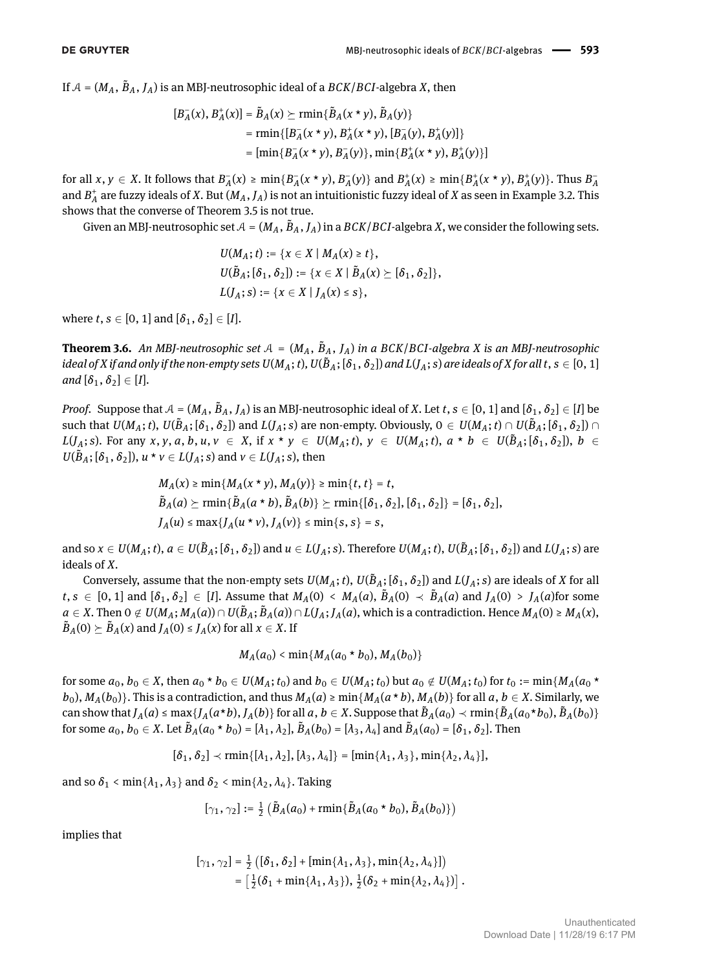If  $A = (M_A, \tilde{B}_A, J_A)$  is an MBJ-neutrosophic ideal of a  $BCK/BCI$ -algebra X, then

$$
[B_A^-(x), B_A^+(x)] = \tilde{B}_A(x) \succeq \min\{\tilde{B}_A(x * y), \tilde{B}_A(y)\}
$$
  
= 
$$
\min\{[B_A^-(x * y), B_A^+(x * y), [B_A^-(y), B_A^+(y)]\}
$$
  
= 
$$
[\min\{B_A^-(x * y), B_A^-(y)\}, \min\{B_A^+(x * y), B_A^+(y)\}]
$$

for all  $x, y \in X$ . It follows that  $B_A^-(x) \ge \min\{B_A^-(x \star y), B_A^-(y)\}\$  and  $B_A^+(x) \ge \min\{B_A^+(x \star y), B_A^+(y)\}\$ . Thus  $B_A^-(x)$ and *B* + *A* are fuzzy ideals of *X*. But (*MA*, *JA*) is not an intuitionistic fuzzy ideal of *X* as seen in Example [3.2.](#page-3-4) This shows that the converse of Theorem [3.5](#page-4-0) is not true.

Given an MBJ-neutrosophic set  $A = (M_A, \tilde{B}_A, J_A)$  in a  $BCK/BCI$ -algebra  $X$ , we consider the following sets.

$$
U(M_A; t) := \{x \in X \mid M_A(x) \ge t\},
$$
  
\n
$$
U(\tilde{B}_A; [\delta_1, \delta_2]) := \{x \in X \mid \tilde{B}_A(x) \ge [\delta_1, \delta_2]\},
$$
  
\n
$$
L(J_A; s) := \{x \in X \mid J_A(x) \le s\},
$$

where  $t, s \in [0, 1]$  and  $[\delta_1, \delta_2] \in [I]$ .

**Theorem 3.6.** An MBJ-neutrosophic set  $A = (M_A, B_A, J_A)$  in a BCK/BCI-algebra X is an MBJ-neutrosophic ideal of X if and only if the non-empty sets U(M<sub>A</sub>; t), U( $\tilde{B}_A$ ; [ $\delta_1,\delta_2$ ]) and L(J<sub>A</sub>; s) are ideals of X for all t,  $s\in[0,1]$ *and*  $[\delta_1, \delta_2] \in [I].$ 

*Proof.* Suppose that  $A = (M_A, \tilde{B}_A, J_A)$  is an MBJ-neutrosophic ideal of *X*. Let  $t, s \in [0, 1]$  and  $[\delta_1, \delta_2] \in [I]$  be such that  $U(M_A;t), U(\tilde{B}_A; [\delta_1, \delta_2])$  and  $L(J_A;s)$  are non-empty. Obviously,  $0 \in U(M_A;t) \cap U(\tilde{B}_A; [\delta_1, \delta_2]) \cap$  $L(J_A; s)$ . For any x, y, a, b, u,  $v \in X$ , if  $x * y \in U(M_A; t)$ ,  $y \in U(M_A; t)$ ,  $a * b \in U(\tilde{B}_A; [\delta_1, \delta_2])$ ,  $b \in$  $U(B_A; [\delta_1, \delta_2])$ ,  $u * v \in L(J_A; s)$  and  $v \in L(J_A; s)$ , then

$$
M_A(x) \ge \min\{M_A(x * y), M_A(y)\} \ge \min\{t, t\} = t,
$$
  
\n
$$
\tilde{B}_A(a) \ge \min\{\tilde{B}_A(a * b), \tilde{B}_A(b)\} \ge \min\{[\delta_1, \delta_2], [\delta_1, \delta_2]\} = [\delta_1, \delta_2],
$$
  
\n
$$
J_A(u) \le \max\{J_A(u * v), J_A(v)\} \le \min\{s, s\} = s,
$$

and so  $x\in U(M_A;t),$   $a\in U(\tilde{B}_A;[\delta_1,\delta_2])$  and  $u\in L(\tilde{J}_A;s).$  Therefore  $U(M_A;t),$   $U(\tilde{B}_A;[\delta_1,\delta_2])$  and  $L(\tilde{J}_A;s)$  are ideals of *X*.

Conversely, assume that the non-empty sets  $U(M_A;t)$ ,  $U(\tilde{B}_A;[\delta_1,\delta_2])$  and  $L(J_A;s)$  are ideals of  $X$  for all  $t,s \in [0,1]$  and  $[\delta_1,\delta_2] \in [I]$ . Assume that  $M_A(0) \leftarrow M_A(a), \tilde{B}_A(0) \leftarrow \tilde{B}_A(a)$  and  $J_A(0) > J_A(a)$  for some  $a\in X.$  Then  $0\notin U(M_A;M_A(a))\cap U(\tilde{B}_A;\tilde{B}_A(a))\cap L(J_A;J_A(a),$  which is a contradiction. Hence  $M_A(0)\geq M_A(x),$  $\widetilde{B}_A(0) \succeq \widetilde{B}_A(x)$  and  $J_A(0) \leq J_A(x)$  for all  $x \in X$ . If

$$
M_A(a_0) < \min\{M_A(a_0 * b_0), M_A(b_0)\}\
$$

for some  $a_0, b_0 \in X$ , then  $a_0 * b_0 \in U(M_A; t_0)$  and  $b_0 \in U(M_A; t_0)$  but  $a_0 \notin U(M_A; t_0)$  for  $t_0 := \min\{M_A(a_0 * b_0)\}$  $b_0$ ,  $M_A(b_0)$ . This is a contradiction, and thus  $M_A(a) \ge \min\{M_A(a * b), M_A(b)\}\$  for all  $a, b \in X$ . Similarly, we can show that  $J_A(a) \le \max\{J_A(a*b), J_A(b)\}$  for all  $a, b \in X$ . Suppose that  $\tilde{B}_A(a_0) \prec \min\{\tilde{B}_A(a_0*b_0), \tilde{B}_A(b_0)\}$ for some  $a_0, b_0 \in X$ . Let  $\tilde{B}_A(a_0 * b_0) = [\lambda_1, \lambda_2], \tilde{B}_A(b_0) = [\lambda_3, \lambda_4]$  and  $\tilde{B}_A(a_0) = [\delta_1, \delta_2]$ . Then

 $[\delta_1, \delta_2] \prec \min\{[\lambda_1, \lambda_2], [\lambda_3, \lambda_4]\} = [\min\{\lambda_1, \lambda_3\}, \min\{\lambda_2, \lambda_4\}],$ 

and so  $\delta_1$  < min{ $\lambda_1$ ,  $\lambda_3$ } and  $\delta_2$  < min{ $\lambda_2$ ,  $\lambda_4$ }. Taking

$$
[\gamma_1, \gamma_2] := \frac{1}{2} \left( \tilde{B}_A(a_0) + \text{rmin} \{ \tilde{B}_A(a_0 * b_0), \tilde{B}_A(b_0) \} \right)
$$

implies that

$$
[\gamma_1, \gamma_2] = \frac{1}{2} ([\delta_1, \delta_2] + [\min\{\lambda_1, \lambda_3\}, \min\{\lambda_2, \lambda_4\}])
$$
  
=  $[\frac{1}{2}(\delta_1 + \min\{\lambda_1, \lambda_3\}), \frac{1}{2}(\delta_2 + \min\{\lambda_2, \lambda_4\})].$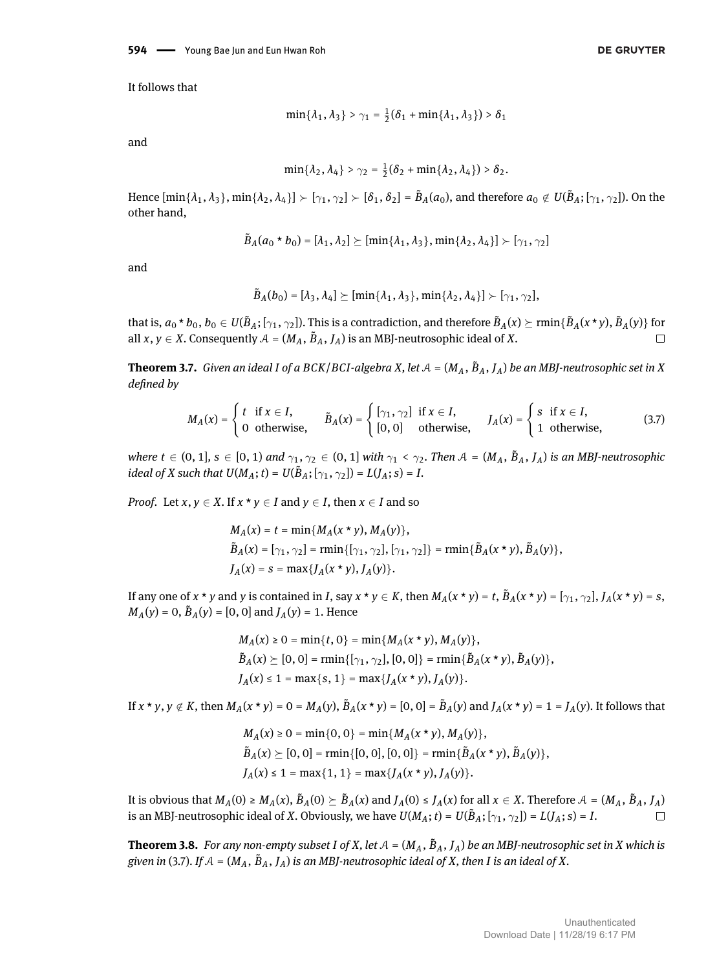It follows that

$$
\min\{\lambda_1,\lambda_3\} > \gamma_1 = \frac{1}{2}(\delta_1 + \min\{\lambda_1,\lambda_3\}) > \delta_1
$$

and

$$
\min\{\lambda_2,\lambda_4\} > \gamma_2 = \frac{1}{2}(\delta_2 + \min\{\lambda_2,\lambda_4\}) > \delta_2.
$$

Hence  $[\min\{\lambda_1, \lambda_3\}, \min\{\lambda_2, \lambda_4\}] \succ [\gamma_1, \gamma_2] \succ [\delta_1, \delta_2] = \tilde{B}_A(a_0)$ , and therefore  $a_0 \notin U(\tilde{B}_A; [\gamma_1, \gamma_2])$ . On the other hand,

$$
\tilde{B}_{A}(a_{0} \star b_{0}) = [\lambda_{1}, \lambda_{2}] \succeq [\min\{\lambda_{1}, \lambda_{3}\}, \min\{\lambda_{2}, \lambda_{4}\}] \succ [\gamma_{1}, \gamma_{2}]
$$

and

<span id="page-6-0"></span>
$$
\tilde{B}_A(b_0) = [\lambda_3, \lambda_4] \succeq [\min\{\lambda_1, \lambda_3\}, \min\{\lambda_2, \lambda_4\}] \succ [\gamma_1, \gamma_2],
$$

that is,  $a_0 * b_0$ ,  $b_0 \in U(\tilde{B}_A; [\gamma_1,\gamma_2])$ . This is a contradiction, and therefore  $\tilde{B}_A(x) \succeq \min\{\tilde{B}_A(x * y), \tilde{B}_A(y)\}$  for all  $x, y \in X$ . Consequently  $A = (M_A, \tilde{B}_A, J_A)$  is an MBJ-neutrosophic ideal of  $X$ .  $\Box$ 

<span id="page-6-1"></span>**Theorem 3.7.** Given an ideal I of a BCK/BCI-algebra X, let  $A = (M_A, \tilde{B}_A, J_A)$  be an MBJ-neutrosophic set in X *defined by* 

$$
M_A(x) = \begin{cases} t & \text{if } x \in I, \\ 0 & \text{otherwise,} \end{cases} \qquad \tilde{B}_A(x) = \begin{cases} [\gamma_1, \gamma_2] & \text{if } x \in I, \\ [0, 0] & \text{otherwise,} \end{cases} \qquad J_A(x) = \begin{cases} s & \text{if } x \in I, \\ 1 & \text{otherwise,} \end{cases}
$$
 (3.7)

*where*  $t \in (0, 1]$ ,  $s \in [0, 1)$  *and*  $\gamma_1, \gamma_2 \in (0, 1]$  *with*  $\gamma_1 < \gamma_2$ . Then  $A = (M_A, \tilde{B}_A, J_A)$  *is an MBJ-neutrosophic ideal of X* such that  $U(M_A; t) = U(\tilde{B}_A; [\gamma_1, \gamma_2]) = L(J_A; s) = I$ .

*Proof.* Let *x*,  $y \in X$ . If  $x * y \in I$  and  $y \in I$ , then  $x \in I$  and so

$$
M_A(x) = t = \min\{M_A(x * y), M_A(y)\},
$$
  
\n
$$
\tilde{B}_A(x) = [\gamma_1, \gamma_2] = \min\{[\gamma_1, \gamma_2], [\gamma_1, \gamma_2]\} = \min\{\tilde{B}_A(x * y), \tilde{B}_A(y)\},
$$
  
\n
$$
J_A(x) = s = \max\{J_A(x * y), J_A(y)\}.
$$

If any one of x \* y and y is contained in I, say  $x * y \in K$ , then  $M_A(x * y) = t$ ,  $\tilde{B}_A(x * y) = [\gamma_1, \gamma_2]$ ,  $J_A(x * y) = s$ ,  $M_A(y) = 0$ ,  $\tilde{B}_A(y) = [0, 0]$  and  $J_A(y) = 1$ . Hence

$$
M_A(x) \ge 0 = \min\{t, 0\} = \min\{M_A(x * y), M_A(y)\},
$$
  
\n
$$
\tilde{B}_A(x) \ge [0, 0] = \min\{[\gamma_1, \gamma_2], [0, 0]\} = \min\{\tilde{B}_A(x * y), \tilde{B}_A(y)\},
$$
  
\n
$$
J_A(x) \le 1 = \max\{s, 1\} = \max\{J_A(x * y), J_A(y)\}.
$$

If  $x * y$ ,  $y \notin K$ , then  $M_A(x * y) = 0 = M_A(y)$ ,  $\tilde{B}_A(x * y) = [0, 0] = \tilde{B}_A(y)$  and  $J_A(x * y) = 1 = J_A(y)$ . It follows that

$$
M_A(x) \ge 0 = \min\{0, 0\} = \min\{M_A(x * y), M_A(y)\},
$$
  
\n
$$
\tilde{B}_A(x) \ge [0, 0] = \min\{[0, 0], [0, 0]\} = \min\{\tilde{B}_A(x * y), \tilde{B}_A(y)\},
$$
  
\n
$$
J_A(x) \le 1 = \max\{1, 1\} = \max\{J_A(x * y), J_A(y)\}.
$$

It is obvious that  $M_A(0) \ge M_A(x)$ ,  $\tilde{B}_A(0) \succeq \tilde{B}_A(x)$  and  $J_A(0) \le J_A(x)$  for all  $x \in X$ . Therefore  $\mathcal{A} = (M_A, \tilde{B}_A, J_A)$ is an MBJ-neutrosophic ideal of *X*. Obviously, we have  $U(M_A; t) = U(\tilde{B}_A; [\gamma_1, \gamma_2]) = L(J_A; s) = I$ .  $\Box$ 

**Theorem 3.8.** For any non-empty subset I of X, let  $A = (M_A, B_A, J_A)$  be an MBJ-neutrosophic set in X which is given in [\(3.7\)](#page-6-0). If  $A = (M_A, B_A, J_A)$  is an MBJ-neutrosophic ideal of X, then I is an ideal of X.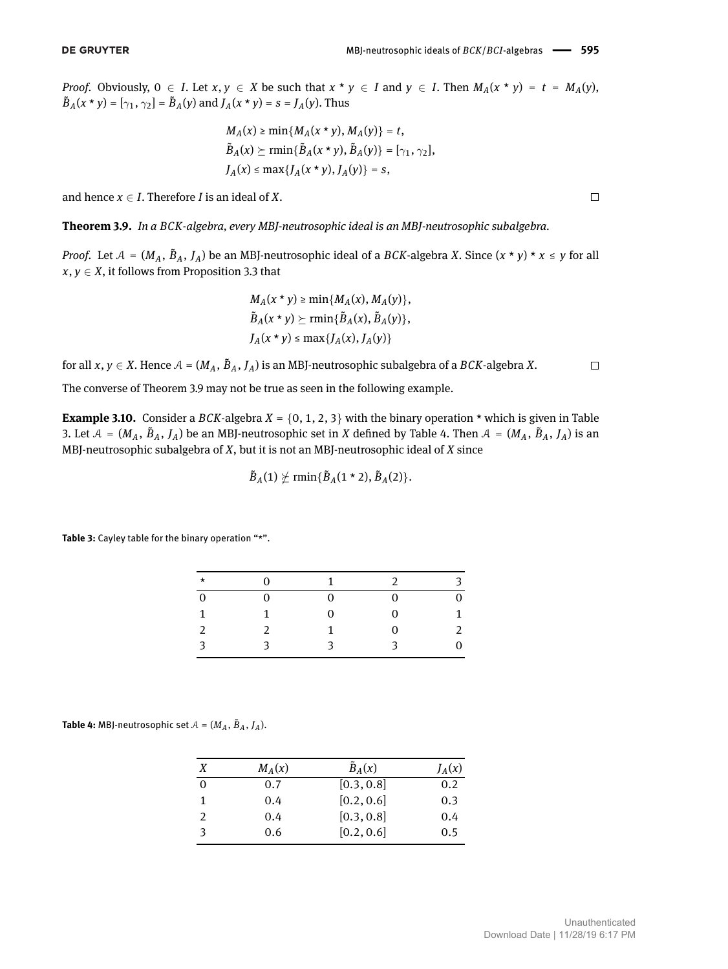*Proof.* Obviously,  $0 \in I$ . Let  $x, y \in X$  be such that  $x * y \in I$  and  $y \in I$ . Then  $M_A(x * y) = t = M_A(y)$ ,  $\tilde{B}_A(x \star y) = [\gamma_1, \gamma_2] = \tilde{B}_A(y)$  and  $J_A(x \star y) = s = J_A(y)$ . Thus

$$
M_A(x) \ge \min\{M_A(x * y), M_A(y)\} = t,
$$
  
\n
$$
\tilde{B}_A(x) \ge \min\{\tilde{B}_A(x * y), \tilde{B}_A(y)\} = [\gamma_1, \gamma_2],
$$
  
\n
$$
J_A(x) \le \max\{J_A(x * y), J_A(y)\} = s,
$$

and hence  $x \in I$ . Therefore *I* is an ideal of *X*.

<span id="page-7-0"></span>**Theorem 3.9.** *In a BCK-algebra, every MBJ-neutrosophic ideal is an MBJ-neutrosophic subalgebra.*

*Proof.* Let  $A = (M_A, B_A, J_A)$  be an MBJ-neutrosophic ideal of a *BCK*-algebra *X*. Since  $(x * y) * x \leq y$  for all  $x, y \in X$ , it follows from Proposition [3.3](#page-3-5) that

$$
M_A(x * y) \ge \min\{M_A(x), M_A(y)\},
$$
  

$$
\tilde{B}_A(x * y) \ge \min\{\tilde{B}_A(x), \tilde{B}_A(y)\},
$$
  

$$
J_A(x * y) \le \max\{J_A(x), J_A(y)\}
$$

for all  $x, y \in X$ . Hence  $\mathcal{A} = (M_A, \tilde{B}_A, J_A)$  is an MBJ-neutrosophic subalgebra of a  $BCK$ -algebra  $X$ .

The converse of Theorem [3.9](#page-7-0) may not be true as seen in the following example.

**Example 3.10.** Consider a *BCK*-algebra  $X = \{0, 1, 2, 3\}$  with the binary operation  $*$  which is given in Table [3.](#page-7-1) Let  $A = (M_A, \tilde{B}_A, J_A)$  be an MBJ-neutrosophic set in *X* defined by Table [4.](#page-7-2) Then  $A = (M_A, \tilde{B}_A, J_A)$  is an MBJ-neutrosophic subalgebra of *X*, but it is not an MBJ-neutrosophic ideal of *X* since

$$
\tilde{B}_A(1) \not\succeq \min\{\tilde{B}_A(1 \star 2), \tilde{B}_A(2)\}.
$$

<span id="page-7-1"></span>**Table 3:** Cayley table for the binary operation "\*".

| $\star$        | $\Omega$ | $\mathbf{1}$ | $\mathcal{P}$ | 3            |
|----------------|----------|--------------|---------------|--------------|
| $\overline{0}$ | $\Omega$ | 0            | 0             | 0            |
| 1              |          | 0            | 0             | $\mathbf{1}$ |
| 2              | 2        | 1            | 0             | 2            |
| 3              | 3        | 3            | 3             | 0            |

<span id="page-7-2"></span>**Table 4:** MBJ-neutrosophic set  $A = (M_A, \tilde{B}_A, J_A)$ .

| Х             | $M_A(x)$ | $\tilde{B}_A(x)$ | $J_A(x)$ |
|---------------|----------|------------------|----------|
| $\Omega$      | 0.7      | [0.3, 0.8]       | 0.2      |
| 1             | 0.4      | [0.2, 0.6]       | 0.3      |
| $\mathcal{P}$ | 0.4      | [0.3, 0.8]       | 0.4      |
| 3             | 0.6      | [0.2, 0.6]       | 0.5      |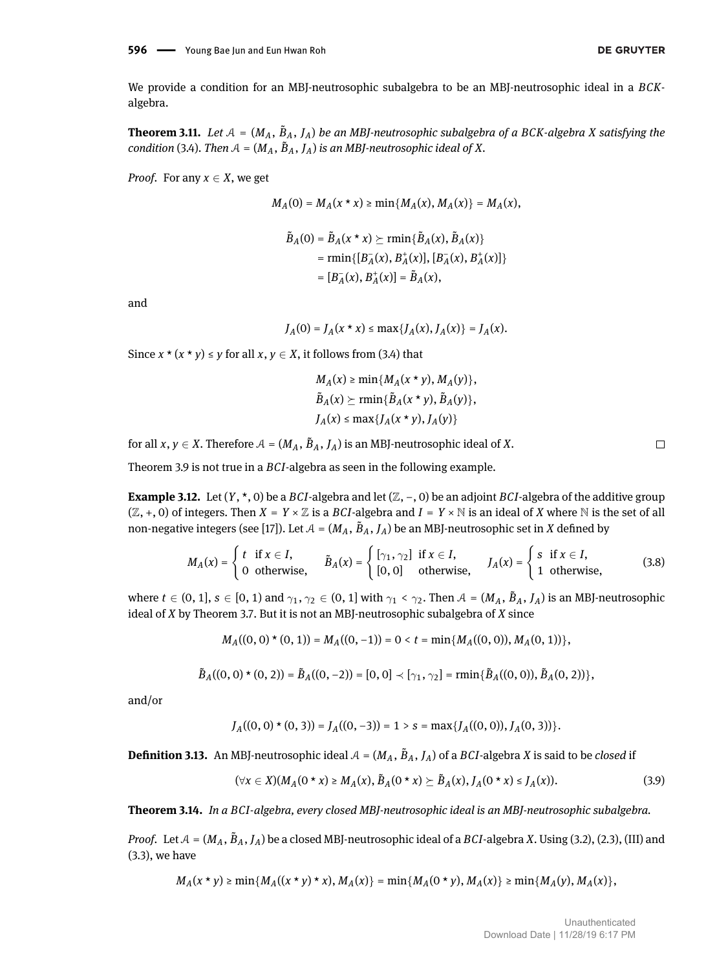We provide a condition for an MBJ-neutrosophic subalgebra to be an MBJ-neutrosophic ideal in a *BCK*algebra.

**Theorem 3.11.** Let  $A = (M_A, B_A, J_A)$  be an MBJ-neutrosophic subalgebra of a BCK-algebra X satisfying the *condition* [\(3.4\)](#page-3-3). Then  $A = (M_A, B_A, J_A)$  *is an MBJ-neutrosophic ideal of*  $X$ .

*Proof.* For any  $x \in X$ , we get

$$
M_A(0) = M_A(x * x) \ge \min\{M_A(x), M_A(x)\} = M_A(x),
$$

$$
\tilde{B}_A(0) = \tilde{B}_A(x \star x) \succeq \min{\{\tilde{B}_A(x), \tilde{B}_A(x)\}}
$$
  
=  $\min{\{[B_A^-(x), B_A^+(x)], [B_A^-(x), B_A^+(x)]\}}$   
=  $[B_A^-(x), B_A^+(x)] = \tilde{B}_A(x),$ 

and

$$
J_A(0) = J_A(x * x) \le \max\{J_A(x), J_A(x)\} = J_A(x).
$$

Since  $x * (x * y) \le y$  for all  $x, y \in X$ , it follows from [\(3.4\)](#page-3-3) that

$$
M_A(x) \ge \min\{M_A(x \star y), M_A(y)\},
$$
  

$$
\tilde{B}_A(x) \ge \min\{\tilde{B}_A(x \star y), \tilde{B}_A(y)\},
$$
  

$$
J_A(x) \le \max\{J_A(x \star y), J_A(y)\}
$$

for all  $x, y \in X$ . Therefore  $A = (M_A, \tilde{B}_A, J_A)$  is an MBJ-neutrosophic ideal of  $X$ .

Theorem [3.9](#page-7-0) is not true in a *BCI*-algebra as seen in the following example.

**Example 3.12.** Let (*Y*, \*, 0) be a *BCI*-algebra and let (Z, −, 0) be an adjoint *BCI*-algebra of the additive group  $(\mathbb{Z}, +, 0)$  of integers. Then  $X = Y \times \mathbb{Z}$  is a *BCI*-algebra and  $I = Y \times \mathbb{N}$  is an ideal of *X* where  $\mathbb{N}$  is the set of all non-negative integers (see [\[17\]](#page-13-4)). Let  $\mathcal{A} = (M_A, \, \tilde{B}_A, \, J_A)$  be an MBJ-neutrosophic set in  $X$  defined by

$$
M_A(x) = \begin{cases} t & \text{if } x \in I, \\ 0 & \text{otherwise,} \end{cases} \qquad \tilde{B}_A(x) = \begin{cases} [\gamma_1, \gamma_2] & \text{if } x \in I, \\ [0, 0] & \text{otherwise,} \end{cases} \qquad J_A(x) = \begin{cases} s & \text{if } x \in I, \\ 1 & \text{otherwise,} \end{cases}
$$
 (3.8)

where  $t\in(0,1], s\in[0,1)$  and  $\gamma_1,\gamma_2\in(0,1]$  with  $\gamma_1<\gamma_2$ . Then  $\mathcal{A}=(M_A,\tilde{B}_A,J_A)$  is an MBJ-neutrosophic ideal of *X* by Theorem [3.7.](#page-6-1) But it is not an MBJ-neutrosophic subalgebra of *X* since

$$
M_A((0,0) \star (0,1)) = M_A((0,-1)) = 0 < t = \min\{M_A((0,0)), M_A(0,1))\},\
$$

$$
\tilde{B}_A((0,0)\star(0,2))=\tilde{B}_A((0,-2))=[0,0]\prec[\gamma_1,\gamma_2]=\min\{\tilde{B}_A((0,0)),\tilde{B}_A(0,2))\},
$$

and/or

$$
J_A((0,0)\star(0,3))=J_A((0,-3))=1>s=\max\{J_A((0,0)),J_A(0,3))\}.
$$

**Definition 3.13.** An MBJ-neutrosophic ideal  $A = (M_A, \tilde{B}_A, J_A)$  of a  $BCI$ -algebra  $X$  is said to be *closed* if

$$
(\forall x \in X)(M_A(0 * x) \ge M_A(x), \tilde{B}_A(0 * x) \ge \tilde{B}_A(x), J_A(0 * x) \le J_A(x)).
$$
\n(3.9)

<span id="page-8-0"></span>**Theorem 3.14.** *In a BCI-algebra, every closed MBJ-neutrosophic ideal is an MBJ-neutrosophic subalgebra.*

*Proof.* Let  $A = (M_A, \tilde{B}_A, J_A)$  be a closed MBJ-neutrosophic ideal of a *BCI*-algebra *X*. Using [\(3.2\)](#page-3-6), [\(2.3\)](#page-1-0), (III) and [\(3.3\)](#page-3-7), we have

 $M_A(x * y) \ge \min\{M_A((x * y) * x), M_A(x)\} = \min\{M_A(0 * y), M_A(x)\} \ge \min\{M_A(y), M_A(x)\},$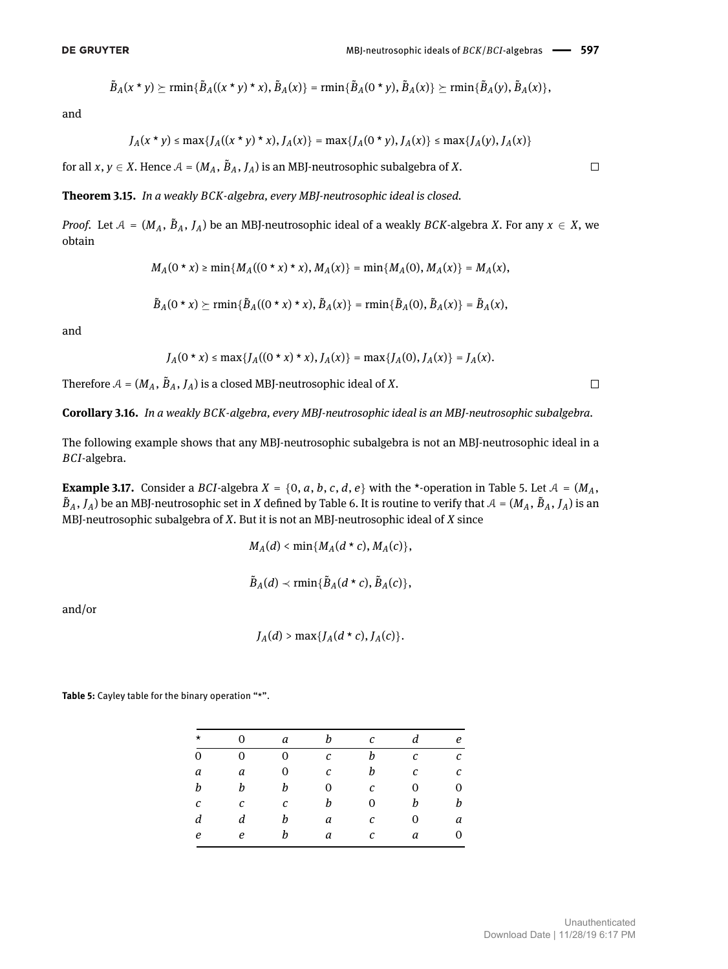$$
\tilde{B}_A(x \star y) \succeq \min\{\tilde{B}_A((x \star y) \star x), \tilde{B}_A(x)\} = \min\{\tilde{B}_A(0 \star y), \tilde{B}_A(x)\} \succeq \min\{\tilde{B}_A(y), \tilde{B}_A(x)\},
$$

and

$$
J_A(x * y) \le \max\{J_A((x * y) * x), J_A(x)\} = \max\{J_A(0 * y), J_A(x)\} \le \max\{J_A(y), J_A(x)\}
$$

for all  $x, y \in X$ . Hence  $\mathcal{A} = (M_A, \tilde{B}_A, J_A)$  is an MBJ-neutrosophic subalgebra of  $X$ .

#### **Theorem 3.15.** *In a weakly BCK-algebra, every MBJ-neutrosophic ideal is closed.*

*Proof.* Let  $A = (M_A, B_A, J_A)$  be an MBJ-neutrosophic ideal of a weakly *BCK*-algebra *X*. For any  $x \in X$ , we obtain

$$
M_A(0 * x) \ge \min\{M_A((0 * x) * x), M_A(x)\} = \min\{M_A(0), M_A(x)\} = M_A(x),
$$

$$
\tilde{B}_A(0 \star x) \succeq \min\{\tilde{B}_A((0 \star x) \star x), \tilde{B}_A(x)\} = \min\{\tilde{B}_A(0), \tilde{B}_A(x)\} = \tilde{B}_A(x),
$$

and

$$
J_A(0 * x) \le \max\{J_A((0 * x) * x), J_A(x)\} = \max\{J_A(0), J_A(x)\} = J_A(x).
$$

Therefore  $A = (M_A, \tilde{B}_A, J_A)$  is a closed MBJ-neutrosophic ideal of X.

**Corollary 3.16.** *In a weakly BCK-algebra, every MBJ-neutrosophic ideal is an MBJ-neutrosophic subalgebra.*

The following example shows that any MBJ-neutrosophic subalgebra is not an MBJ-neutrosophic ideal in a *BCI*-algebra.

**Example 3.17.** Consider a *BCI*-algebra  $X = \{0, a, b, c, d, e\}$  with the \*-operation in Table [5.](#page-9-0) Let  $A = (M_A,$  $\tilde{B}_A$ ,  $J_A$ ) be an MBJ-neutrosophic set in *X* defined by Table [6.](#page-10-0) It is routine to verify that  $A = (M_A, \tilde{B}_A, J_A)$  is an MBJ-neutrosophic subalgebra of *X*. But it is not an MBJ-neutrosophic ideal of *X* since

$$
M_A(d) < \min\{M_A(d \star c), M_A(c)\},\
$$

$$
\tilde{B}_A(d) \prec \min\{\tilde{B}_A(d \star c), \tilde{B}_A(c)\},\
$$

and/or

$$
J_A(d) > \max\{J_A(d \star c), J_A(c)\}.
$$

<span id="page-9-0"></span>**Table 5:** Cayley table for the binary operation "\*".

| $\Omega$ | a           | h             | $\mathcal{C}_{\mathcal{C}}$ | d                | e |
|----------|-------------|---------------|-----------------------------|------------------|---|
| 0        | $\mathbf 0$ | $\mathcal{C}$ | h                           | $\boldsymbol{c}$ | C |
| a        | 0           | C             | b                           | C                | C |
| h        | b           | 0             | C                           | 0                | 0 |
| C        | C           | b             | 0                           | h                | b |
| d        | h           | a             | С                           | 0                | a |
| e        |             | a             | $\boldsymbol{c}$            | a                | 0 |
|          |             |               |                             |                  |   |

 $\Box$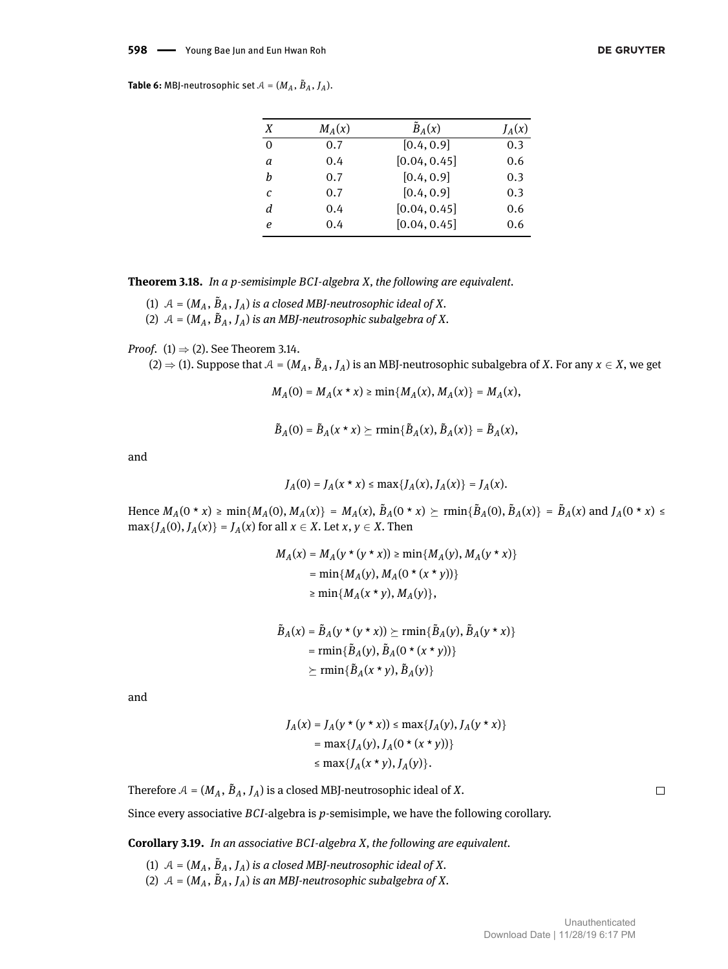<span id="page-10-0"></span>**Table 6:** MBJ-neutrosophic set  $A = (M_A, \tilde{B}_A, J_A)$ .

| X        | $M_A(x)$ | $\tilde{B}_A(x)$ | $J_A(x)$ |
|----------|----------|------------------|----------|
| $\Omega$ | 0.7      | [0.4, 0.9]       | 0.3      |
| a        | 0.4      | [0.04, 0.45]     | 0.6      |
| h        | 0.7      | [0.4, 0.9]       | 0.3      |
| C        | 0.7      | [0.4, 0.9]       | 0.3      |
| d        | 0.4      | [0.04, 0.45]     | 0.6      |
| е        | 0.4      | [0.04, 0.45]     | 0.6      |

**Theorem 3.18.** *In a p-semisimple BCI-algebra X, the following are equivalent.*

- (1)  $A = (M_A, \tilde{B}_A, J_A)$  *is a closed MBJ-neutrosophic ideal of X.*
- (2)  $A = (M_A, \tilde{B}_A, J_A)$  *is an MBJ-neutrosophic subalgebra of X.*

*Proof.* (1)  $\Rightarrow$  (2). See Theorem [3.14.](#page-8-0)

 $(2) \Rightarrow (1)$ . Suppose that  $A = (M_A, B_A, J_A)$  is an MBJ-neutrosophic subalgebra of X. For any  $x \in X$ , we get

 $M_A(0) = M_A(x * x) \ge \min\{M_A(x), M_A(x)\} = M_A(x),$ 

 $\tilde{B}_A(0) = \tilde{B}_A(x * x) \succeq \min\{\tilde{B}_A(x), \tilde{B}_A(x)\} = \tilde{B}_A(x),$ 

and

$$
J_A(0) = J_A(x * x) \le \max\{J_A(x), J_A(x)\} = J_A(x).
$$

Hence  $M_A(0 * x) \ge \min\{M_A(0), M_A(x)\} = M_A(x), \tilde{B}_A(0 * x) \ge \min\{\tilde{B}_A(0), \tilde{B}_A(x)\} = \tilde{B}_A(x)$  and  $J_A(0 * x) \le$  $\max\{J_A(0), J_A(x)\} = J_A(x)$  for all  $x \in X$ . Let  $x, y \in X$ . Then

$$
M_A(x) = M_A(y * (y * x)) \ge \min\{M_A(y), M_A(y * x)\}
$$
  
= min{ $M_A(y), M_A(0 * (x * y))$ }  
 $\ge \min\{M_A(x * y), M_A(y)\},$ 

$$
\tilde{B}_A(x) = \tilde{B}_A(y * (y * x)) \succeq \min{\{\tilde{B}_A(y), \tilde{B}_A(y * x)\}}
$$
\n
$$
= \min{\{\tilde{B}_A(y), \tilde{B}_A(0 * (x * y))\}}
$$
\n
$$
\succeq \min{\{\tilde{B}_A(x * y), \tilde{B}_A(y)\}}
$$

and

$$
J_A(x) = J_A(y * (y * x)) \le \max\{J_A(y), J_A(y * x)\}
$$
  
=  $\max\{J_A(y), J_A(0 * (x * y))\}$   
 $\le \max\{J_A(x * y), J_A(y)\}.$ 

Therefore  $\mathcal{A} = (M_A, \tilde{B}_A, J_A)$  is a closed MBJ-neutrosophic ideal of  $X$ .

Since every associative *BCI*-algebra is *p*-semisimple, we have the following corollary.

**Corollary 3.19.** *In an associative BCI-algebra X, the following are equivalent.*

(1)  $A = (M_A, \tilde{B}_A, J_A)$  *is a closed MBJ-neutrosophic ideal of X.* (2)  $A = (M_A, \tilde{B}_A, J_A)$  *is an MBJ-neutrosophic subalgebra of X.*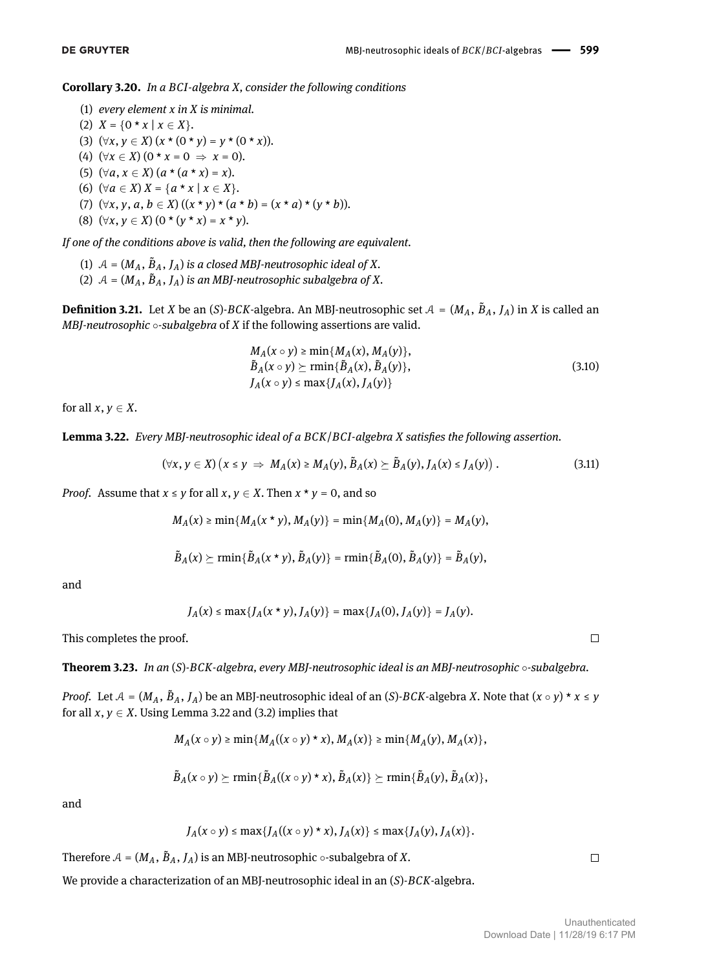**Corollary 3.20.** *In a BCI-algebra X, consider the following conditions*

- (1) *every element x in X is minimal.*
- (2)  $X = \{0 \star x \mid x \in X\}.$ (3)  $(\forall x, y \in X) (x * (0 * y) = y * (0 * x)).$ (4)  $(\forall x \in X)$   $(0 * x = 0 \Rightarrow x = 0)$ . (5)  $(\forall a, x \in X)$   $(a * (a * x) = x)$ .
- (6)  $(\forall a \in X) X = \{a * x \mid x \in X\}.$
- (7)  $(\forall x, y, a, b \in X) ((x * y) * (a * b) = (x * a) * (y * b)).$
- (8)  $(\forall x, y \in X)$   $(0 \star (y \star x) = x \star y)$ .

*If one of the conditions above is valid, then the following are equivalent.*

- (1)  $A = (M_A, \tilde{B}_A, J_A)$  *is a closed MBJ-neutrosophic ideal of X.*
- (2)  $A = (M_A, \tilde{B}_A, J_A)$  *is an MBJ-neutrosophic subalgebra of X.*

**Definition 3.21.** Let *X* be an (*S*)-*BCK*-algebra. An MBJ-neutrosophic set  $A = (M_A, B_A, J_A)$  in *X* is called an *MBJ-neutrosophic* ∘*-subalgebra* of *X* if the following assertions are valid.

$$
M_A(x \circ y) \ge \min\{M_A(x), M_A(y)\},
$$
  
\n
$$
\tilde{B}_A(x \circ y) \ge \min\{\tilde{B}_A(x), \tilde{B}_A(y)\},
$$
  
\n
$$
J_A(x \circ y) \le \max\{J_A(x), J_A(y)\}
$$
\n(3.10)

for all  $x, y \in X$ .

<span id="page-11-0"></span>Lemma 3.22. *Every MBJ-neutrosophic ideal of a BCK/BCI-algebra X satisfies the following assertion.* 

$$
(\forall x, y \in X) (x \leq y \implies M_A(x) \geq M_A(y), \tilde{B}_A(x) \geq \tilde{B}_A(y), J_A(x) \leq J_A(y)). \tag{3.11}
$$

*Proof.* Assume that  $x \le y$  for all  $x, y \in X$ . Then  $x * y = 0$ , and so

$$
M_A(x) \ge \min\{M_A(x \star y), M_A(y)\} = \min\{M_A(0), M_A(y)\} = M_A(y),
$$

$$
\tilde{B}_A(x) \succeq \min\{\tilde{B}_A(x \star y), \tilde{B}_A(y)\} = \min\{\tilde{B}_A(0), \tilde{B}_A(y)\} = \tilde{B}_A(y),
$$

and

$$
J_A(x) \le \max\{J_A(x \star y), J_A(y)\} = \max\{J_A(0), J_A(y)\} = J_A(y).
$$

This completes the proof.

<span id="page-11-1"></span>**Theorem 3.23.** *In an* (*S*)*-BCK-algebra, every MBJ-neutrosophic ideal is an MBJ-neutrosophic* ◦*-subalgebra.*

*Proof.* Let  $A = (M_A, B_A, J_A)$  be an MBJ-neutrosophic ideal of an  $(S)$ -*BCK*-algebra *X*. Note that  $(x \circ y) * x \leq y$ for all  $x, y \in X$ . Using Lemma [3.22](#page-11-0) and [\(3.2\)](#page-3-6) implies that

$$
M_A(x\circ y)\geq \min\{M_A((x\circ y)\star x),M_A(x)\}\geq \min\{M_A(y),M_A(x)\},
$$

$$
\tilde{B}_A(x\circ y) \succeq \min\{\tilde{B}_A((x\circ y)\star x), \tilde{B}_A(x)\}\succeq \min\{\tilde{B}_A(y), \tilde{B}_A(x)\},
$$

and

$$
J_A(x\circ y)\leq \max\{J_A((x\circ y)\star x),J_A(x)\}\leq \max\{J_A(y),J_A(x)\}.
$$

Therefore  $A = (M_A, \tilde{B}_A, J_A)$  is an MBJ-neutrosophic  $\circ$ -subalgebra of *X*.

We provide a characterization of an MBJ-neutrosophic ideal in an (*S*)-*BCK*-algebra.

 $\Box$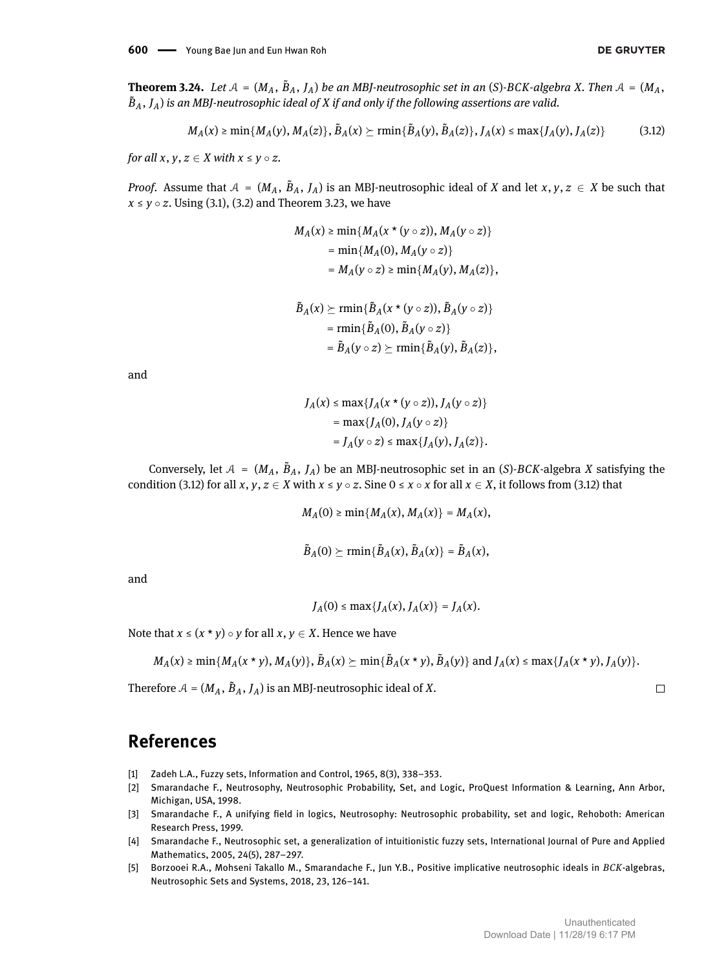**Theorem 3.24.** Let  $A = (M_A, B_A, J_A)$  be an MBJ-neutrosophic set in an (S)-BCK-algebra X. Then  $A = (M_A, B_A, J_A)$  $\tilde{B}_A$  ,  $J_A$ ) is an MBJ-neutrosophic ideal of  $X$  if and only if the following assertions are valid.

$$
M_A(x) \ge \min\{M_A(y), M_A(z)\}, \tilde{B}_A(x) \ge \min\{\tilde{B}_A(y), \tilde{B}_A(z)\}, J_A(x) \le \max\{J_A(y), J_A(z)\}
$$
(3.12)

*for all*  $x, y, z \in X$  *with*  $x \le y \circ z$ .

*Proof.* Assume that  $A = (M_A, B_A, J_A)$  is an MBJ-neutrosophic ideal of *X* and let *x*, *y*, *z*  $\in$  *X* be such that  $x \le y \circ z$ . Using [\(3.1\)](#page-3-2), [\(3.2\)](#page-3-6) and Theorem [3.23,](#page-11-1) we have

<span id="page-12-5"></span>
$$
M_A(x) \ge \min\{M_A(x * (y \circ z)), M_A(y \circ z)\}
$$
  
=  $\min\{M_A(0), M_A(y \circ z)\}$   
=  $M_A(y \circ z) \ge \min\{M_A(y), M_A(z)\},$ 

$$
\tilde{B}_A(x) \succeq \min\{\tilde{B}_A(x * (y \circ z)), \tilde{B}_A(y \circ z)\}
$$
\n
$$
= \min\{\tilde{B}_A(0), \tilde{B}_A(y \circ z)\}
$$
\n
$$
= \tilde{B}_A(y \circ z) \succeq \min\{\tilde{B}_A(y), \tilde{B}_A(z)\},
$$

and

$$
J_A(x) \le \max\{J_A(x * (y \circ z)), J_A(y \circ z)\}
$$
  
= max{ $J_A(0), J_A(y \circ z)$ }  
=  $J_A(y \circ z) \le \max\{J_A(y), J_A(z)\}.$ 

Conversely, let  $A = (M_A, \tilde{B}_A, J_A)$  be an MBJ-neutrosophic set in an (*S*)-*BCK*-algebra *X* satisfying the condition [\(3.12\)](#page-12-5) for all *x*, *y*, *z* ∈ *X* with  $x \le y \circ z$ . Sine  $0 \le x \circ x$  for all  $x \in X$ , it follows from (3.12) that

$$
M_A(0) \ge \min\{M_A(x), M_A(x)\} = M_A(x),
$$

$$
\tilde{B}_A(0) \succeq \min\{\tilde{B}_A(x), \tilde{B}_A(x)\} = \tilde{B}_A(x),
$$

and

$$
J_A(0) \le \max\{J_A(x), J_A(x)\} = J_A(x).
$$

Note that  $x \leq (x * y) \circ y$  for all  $x, y \in X$ . Hence we have

$$
M_A(x) \ge \min\{M_A(x * y), M_A(y)\}, \tilde{B}_A(x) \ge \min\{\tilde{B}_A(x * y), \tilde{B}_A(y)\} \text{ and } J_A(x) \le \max\{J_A(x * y), J_A(y)\}.
$$

Therefore  $A = (M_A, \tilde{B}_A, J_A)$  is an MBJ-neutrosophic ideal of X.

### **References**

- <span id="page-12-0"></span>[1] Zadeh L.A., Fuzzy sets, Information and Control, 1965, 8(3), 338–353.
- <span id="page-12-1"></span>[2] Smarandache F., Neutrosophy, Neutrosophic Probability, Set, and Logic, ProQuest Information & Learning, Ann Arbor, Michigan, USA, 1998.
- <span id="page-12-4"></span>[3] Smarandache F., A unifying field in logics, Neutrosophy: Neutrosophic probability, set and logic, Rehoboth: American Research Press, 1999.
- <span id="page-12-2"></span>[4] Smarandache F., Neutrosophic set, a generalization of intuitionistic fuzzy sets, International Journal of Pure and Applied Mathematics, 2005, 24(5), 287–297.
- <span id="page-12-3"></span>[5] Borzooei R.A., Mohseni Takallo M., Smarandache F., Jun Y.B., Positive implicative neutrosophic ideals in *BCK*-algebras, Neutrosophic Sets and Systems, 2018, 23, 126–141.